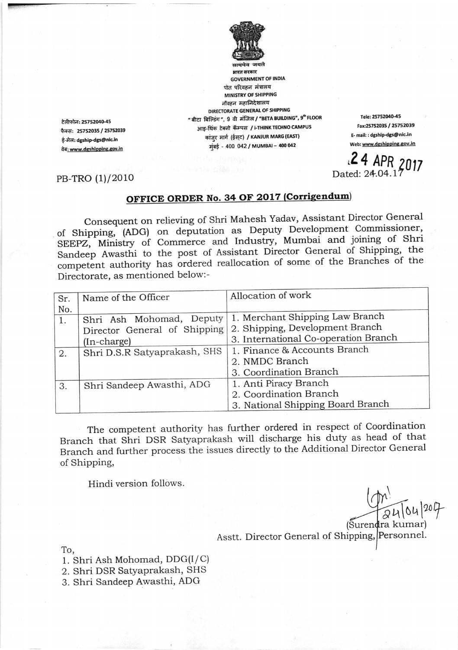

**GOVERNMENT OF INDIA** पोत परिवहन मंत्रालय MINISTRY OF SHIPPING नौवहन महानिदेशालय DIRECTORATE GENERAL OF SHIPPING " बीटा बिल्डिंग ", 9 वी मंजिल **/ "BETA BUILDING", 9<sup>th</sup> FLOOR** आइ-थिंक टेक्नो कॅम्पस / i-THINK TECHNO CAMPUS कांजुर मार्ग (ईस्ट) / KANJUR MARG (EAST) मंबई - 400 042 / MUMBAI - 400 042

Tele: 25752040-45 Fax:25752035 / 25752039 E- mail: : dgship-dgs@nic.in Web: www.dgshipping.gov.in

 $24$  APR 2017<br>Dated: 24.04.17

PB-TRO (1)/2010

टेलीफोन: 25752040-45

फैक्स: 25752035 / 25752039

वेब: www.dgshipping.gov.in

ई-मेल: dgship-dgs@nic.in

## OFFICE ORDER No. 34 OF 2017 (Corrigendum)

Consequent on relieving of Shri Mahesh Yadav, Assistant Director General of Shipping, (ADG) on deputation as Deputy Development Commissioner, SEEPZ, Ministry of Commerce and Industry, Mumbai and joining of Shri Sandeep Awasthi to the post of Assistant Director General of Shipping, the competent authority has ordered reallocation of some of the Branches of the Directorate, as mentioned below:-

| Sr. | Name of the Officer          | Allocation of work                   |
|-----|------------------------------|--------------------------------------|
| No. |                              |                                      |
| 1.  | Shri Ash Mohomad, Deputy     | 1. Merchant Shipping Law Branch      |
|     | Director General of Shipping | 2. Shipping, Development Branch      |
|     | $(In-charge)$                | 3. International Co-operation Branch |
| 2.  | Shri D.S.R Satyaprakash, SHS | 1. Finance & Accounts Branch         |
|     |                              | 2. NMDC Branch                       |
|     |                              | 3. Coordination Branch               |
| 3.  | Shri Sandeep Awasthi, ADG    | 1. Anti Piracy Branch                |
|     |                              | 2. Coordination Branch               |
|     |                              | 3. National Shipping Board Branch    |

The competent authority has further ordered in respect of Coordination Branch that Shri DSR Satyaprakash will discharge his duty as head of that Branch and further process the issues directly to the Additional Director General of Shipping,

Hindi version follows.

(Surendra kumar)

Asstt. Director General of Shipping, Personnel.

To.

1. Shri Ash Mohomad, DDG(I/C)

2. Shri DSR Satyaprakash, SHS

3. Shri Sandeep Awasthi, ADG